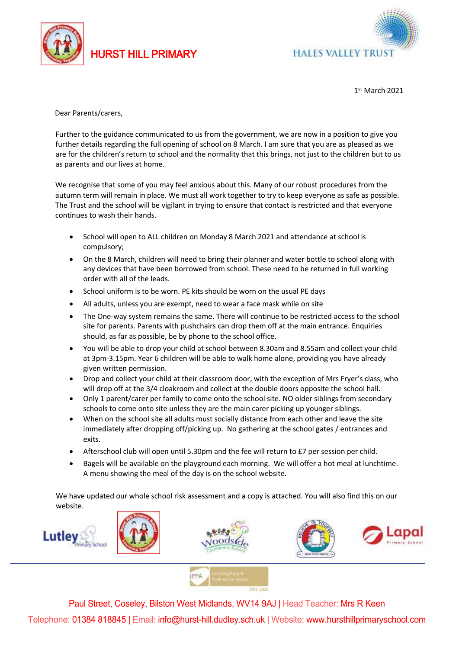

HURST HILL PRIMARY



1 st March 2021

Dear Parents/carers,

Further to the guidance communicated to us from the government, we are now in a position to give you further details regarding the full opening of school on 8 March. I am sure that you are as pleased as we are for the children's return to school and the normality that this brings, not just to the children but to us as parents and our lives at home.

We recognise that some of you may feel anxious about this. Many of our robust procedures from the autumn term will remain in place. We must all work together to try to keep everyone as safe as possible. The Trust and the school will be vigilant in trying to ensure that contact is restricted and that everyone continues to wash their hands.

- School will open to ALL children on Monday 8 March 2021 and attendance at school is compulsory;
- On the 8 March, children will need to bring their planner and water bottle to school along with any devices that have been borrowed from school. These need to be returned in full working order with all of the leads.
- School uniform is to be worn. PE kits should be worn on the usual PE days
- All adults, unless you are exempt, need to wear a face mask while on site
- The One-way system remains the same. There will continue to be restricted access to the school site for parents. Parents with pushchairs can drop them off at the main entrance. Enquiries should, as far as possible, be by phone to the school office.
- You will be able to drop your child at school between 8.30am and 8.55am and collect your child at 3pm-3.15pm. Year 6 children will be able to walk home alone, providing you have already given written permission.
- Drop and collect your child at their classroom door, with the exception of Mrs Fryer's class, who will drop off at the 3/4 cloakroom and collect at the double doors opposite the school hall.
- Only 1 parent/carer per family to come onto the school site. NO older siblings from secondary schools to come onto site unless they are the main carer picking up younger siblings.
- When on the school site all adults must socially distance from each other and leave the site immediately after dropping off/picking up. No gathering at the school gates / entrances and exits.
- Afterschool club will open until 5.30pm and the fee will return to £7 per session per child.
- Bagels will be available on the playground each morning. We will offer a hot meal at lunchtime. A menu showing the meal of the day is on the school website.

We have updated our whole school risk assessment and a copy is attached. You will also find this on our website.





Paul Street, Coseley, Bilston West Midlands, WV14 9AJ | Head Teacher: Mrs R Keen Telephone: 01384 818845 | Email: info@hurst-hill.dudley.sch.uk | Website: www.hursthillprimaryschool.com